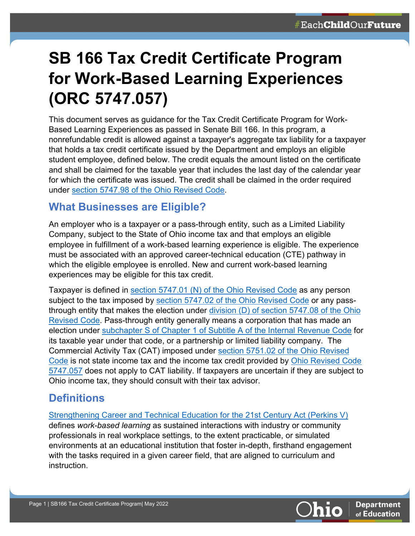# **SB 166 Tax Credit Certificate Program for Work-Based Learning Experiences (ORC 5747.057)**

This document serves as guidance for the Tax Credit Certificate Program for Work-Based Learning Experiences as passed in Senate Bill 166. In this program, a nonrefundable credit is allowed against a taxpayer's aggregate tax liability for a taxpayer that holds a tax credit certificate issued by the Department and employs an eligible student employee, defined below. The credit equals the amount listed on the certificate and shall be claimed for the taxable year that includes the last day of the calendar year for which the certificate was issued. The credit shall be claimed in the order required under [section 5747.98 of the Ohio Revised Code.](https://codes.ohio.gov/ohio-revised-code/section-5747.98#:%7E:text=Any%20excess%20amount%20of%20a,once%20for%20a%20taxable%20year.)

### **What Businesses are Eligible?**

An employer who is a taxpayer or a pass-through entity, such as a Limited Liability Company, subject to the State of Ohio income tax and that employs an eligible employee in fulfillment of a work-based learning experience is eligible. The experience must be associated with an approved career-technical education (CTE) pathway in which the eligible employee is enrolled. New and current work-based learning experiences may be eligible for this tax credit.

Taxpayer is defined in [section 5747.01 \(N\) of the Ohio Revised Code](https://gcc02.safelinks.protection.outlook.com/?url=https%3A%2F%2Fcodes.ohio.gov%2Fohio-revised-code%2Fsection-5747.01&data=05%7C01%7CCatherine.Allen%40education.ohio.gov%7C5688a3a3d87b4a68374b08da3d85c68d%7C50f8fcc494d84f0784eb36ed57c7c8a2%7C0%7C0%7C637889942022184549%7CUnknown%7CTWFpbGZsb3d8eyJWIjoiMC4wLjAwMDAiLCJQIjoiV2luMzIiLCJBTiI6Ik1haWwiLCJXVCI6Mn0%3D%7C3000%7C%7C%7C&sdata=clU71ljiaBeEvDjouvITkCYsvNj1UJk5hMgucUsFK7Y%3D&reserved=0) as any person subject to the tax imposed by [section 5747.02 of the Ohio Revised Code](https://gcc02.safelinks.protection.outlook.com/?url=https%3A%2F%2Fcodes.ohio.gov%2Fohio-revised-code%2Fsection-5747.02&data=05%7C01%7CCatherine.Allen%40education.ohio.gov%7C5688a3a3d87b4a68374b08da3d85c68d%7C50f8fcc494d84f0784eb36ed57c7c8a2%7C0%7C0%7C637889942022340758%7CUnknown%7CTWFpbGZsb3d8eyJWIjoiMC4wLjAwMDAiLCJQIjoiV2luMzIiLCJBTiI6Ik1haWwiLCJXVCI6Mn0%3D%7C3000%7C%7C%7C&sdata=21%2B7lrQ%2BRKejHf89B%2BKZfgrN4eWPDFSgbA%2BgNgOGGfY%3D&reserved=0) or any passthrough entity that makes the election under [division \(D\) of section 5747.08 of the Ohio](https://gcc02.safelinks.protection.outlook.com/?url=https%3A%2F%2Fcodes.ohio.gov%2Fohio-revised-code%2Fsection-5747.08&data=05%7C01%7CCatherine.Allen%40education.ohio.gov%7C5688a3a3d87b4a68374b08da3d85c68d%7C50f8fcc494d84f0784eb36ed57c7c8a2%7C0%7C0%7C637889942022340758%7CUnknown%7CTWFpbGZsb3d8eyJWIjoiMC4wLjAwMDAiLCJQIjoiV2luMzIiLCJBTiI6Ik1haWwiLCJXVCI6Mn0%3D%7C3000%7C%7C%7C&sdata=WqHqNPQsyVpAomXKHt7Uwlsa%2FoynXR%2FVYjWC8Kk%2FZhM%3D&reserved=0)  [Revised Code.](https://gcc02.safelinks.protection.outlook.com/?url=https%3A%2F%2Fcodes.ohio.gov%2Fohio-revised-code%2Fsection-5747.08&data=05%7C01%7CCatherine.Allen%40education.ohio.gov%7C5688a3a3d87b4a68374b08da3d85c68d%7C50f8fcc494d84f0784eb36ed57c7c8a2%7C0%7C0%7C637889942022340758%7CUnknown%7CTWFpbGZsb3d8eyJWIjoiMC4wLjAwMDAiLCJQIjoiV2luMzIiLCJBTiI6Ik1haWwiLCJXVCI6Mn0%3D%7C3000%7C%7C%7C&sdata=WqHqNPQsyVpAomXKHt7Uwlsa%2FoynXR%2FVYjWC8Kk%2FZhM%3D&reserved=0) Pass-through entity generally means a corporation that has made an election under [subchapter S of Chapter 1 of Subtitle A of the Internal Revenue Code](https://uscode.house.gov/view.xhtml?req=granuleid%3AUSC-prelim-title26-chapter1-subchapterS-part1&edition=prelim#:%7E:text=From%20Title%2026%E2%80%94INTERNAL%20REVENUE%20CODE%20Subtitle%20A%E2%80%94Income%20Taxes,S%20corporation%20defined.%201362.%20Election%3B%20revocation%3B%20termination.%201363.) for its taxable year under that code, or a partnership or limited liability company. The Commercial Activity Tax (CAT) imposed under [section 5751.02 of the Ohio Revised](https://codes.ohio.gov/ohio-revised-code/section-5751.02)  [Code](https://codes.ohio.gov/ohio-revised-code/section-5751.02) is not state income tax and the income tax credit provided by [Ohio Revised Code](https://codes.ohio.gov/ohio-revised-code/section-section-5747.057)  [5747.057](https://codes.ohio.gov/ohio-revised-code/section-section-5747.057) does not apply to CAT liability. If taxpayers are uncertain if they are subject to Ohio income tax, they should consult with their tax advisor.

## **Definitions**

[Strengthening Career and Technical Education for the 21st Century Act \(Perkins V\)](https://www.govinfo.gov/content/pkg/COMPS-3096/pdf/COMPS-3096.pdf) defines *work-based learning* as sustained interactions with industry or community professionals in real workplace settings, to the extent practicable, or simulated environments at an educational institution that foster in-depth, firsthand engagement with the tasks required in a given career field, that are aligned to curriculum and instruction.

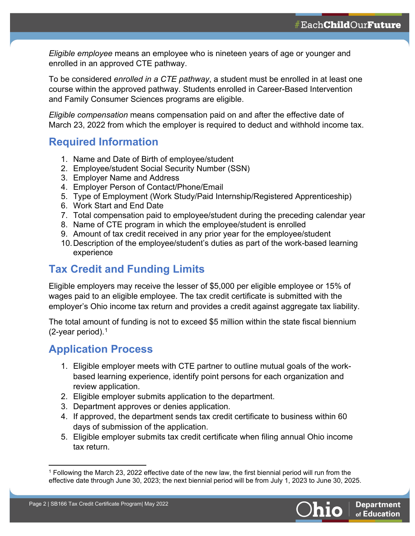*Eligible employee* means an employee who is nineteen years of age or younger and enrolled in an approved CTE pathway.

To be considered *enrolled in a CTE pathway*, a student must be enrolled in at least one course within the approved pathway. Students enrolled in Career-Based Intervention and Family Consumer Sciences programs are eligible.

*Eligible compensation* means compensation paid on and after the effective date of March 23, 2022 from which the employer is required to deduct and withhold income tax.

#### **Required Information**

- 1. Name and Date of Birth of employee/student
- 2. Employee/student Social Security Number (SSN)
- 3. Employer Name and Address
- 4. Employer Person of Contact/Phone/Email
- 5. Type of Employment (Work Study/Paid Internship/Registered Apprenticeship)
- 6. Work Start and End Date
- 7. Total compensation paid to employee/student during the preceding calendar year
- 8. Name of CTE program in which the employee/student is enrolled
- 9. Amount of tax credit received in any prior year for the employee/student
- 10.Description of the employee/student's duties as part of the work-based learning experience

## **Tax Credit and Funding Limits**

Eligible employers may receive the lesser of \$5,000 per eligible employee or 15% of wages paid to an eligible employee. The tax credit certificate is submitted with the employer's Ohio income tax return and provides a credit against aggregate tax liability.

The total amount of funding is not to exceed \$5 million within the state fiscal biennium (2-year period). [1](#page-1-0)

#### **Application Process**

- 1. Eligible employer meets with CTE partner to outline mutual goals of the workbased learning experience, identify point persons for each organization and review application.
- 2. Eligible employer submits application to the department.
- 3. Department approves or denies application.
- 4. If approved, the department sends tax credit certificate to business within 60 days of submission of the application.
- 5. Eligible employer submits tax credit certificate when filing annual Ohio income tax return.

<span id="page-1-0"></span><sup>&</sup>lt;sup>1</sup> Following the March 23, 2022 effective date of the new law, the first biennial period will run from the effective date through June 30, 2023; the next biennial period will be from July 1, 2023 to June 30, 2025.

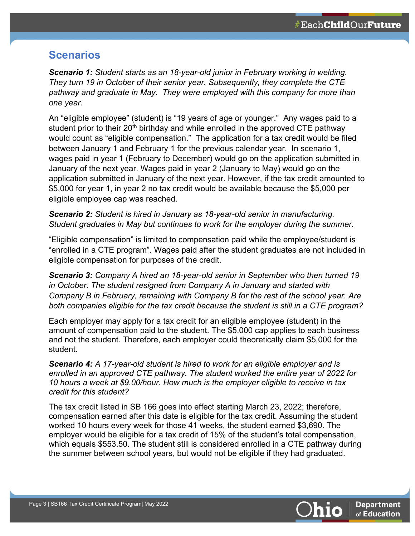#### **Scenarios**

*Scenario 1: Student starts as an 18-year-old junior in February working in welding. They turn 19 in October of their senior year. Subsequently, they complete the CTE pathway and graduate in May. They were employed with this company for more than one year.*

An "eligible employee" (student) is "19 years of age or younger." Any wages paid to a student prior to their  $20<sup>th</sup>$  birthday and while enrolled in the approved CTE pathway would count as "eligible compensation." The application for a tax credit would be filed between January 1 and February 1 for the previous calendar year. In scenario 1, wages paid in year 1 (February to December) would go on the application submitted in January of the next year. Wages paid in year 2 (January to May) would go on the application submitted in January of the next year. However, if the tax credit amounted to \$5,000 for year 1, in year 2 no tax credit would be available because the \$5,000 per eligible employee cap was reached.

*Scenario 2: Student is hired in January as 18-year-old senior in manufacturing. Student graduates in May but continues to work for the employer during the summer.*

"Eligible compensation" is limited to compensation paid while the employee/student is "enrolled in a CTE program". Wages paid after the student graduates are not included in eligible compensation for purposes of the credit.

*Scenario 3: Company A hired an 18-year-old senior in September who then turned 19 in October. The student resigned from Company A in January and started with Company B in February, remaining with Company B for the rest of the school year. Are both companies eligible for the tax credit because the student is still in a CTE program?* 

Each employer may apply for a tax credit for an eligible employee (student) in the amount of compensation paid to the student. The \$5,000 cap applies to each business and not the student. Therefore, each employer could theoretically claim \$5,000 for the student.

*Scenario 4: A 17-year-old student is hired to work for an eligible employer and is enrolled in an approved CTE pathway. The student worked the entire year of 2022 for 10 hours a week at \$9.00/hour. How much is the employer eligible to receive in tax credit for this student?*

The tax credit listed in SB 166 goes into effect starting March 23, 2022; therefore, compensation earned after this date is eligible for the tax credit. Assuming the student worked 10 hours every week for those 41 weeks, the student earned \$3,690. The employer would be eligible for a tax credit of 15% of the student's total compensation, which equals \$553.50. The student still is considered enrolled in a CTE pathway during the summer between school years, but would not be eligible if they had graduated.